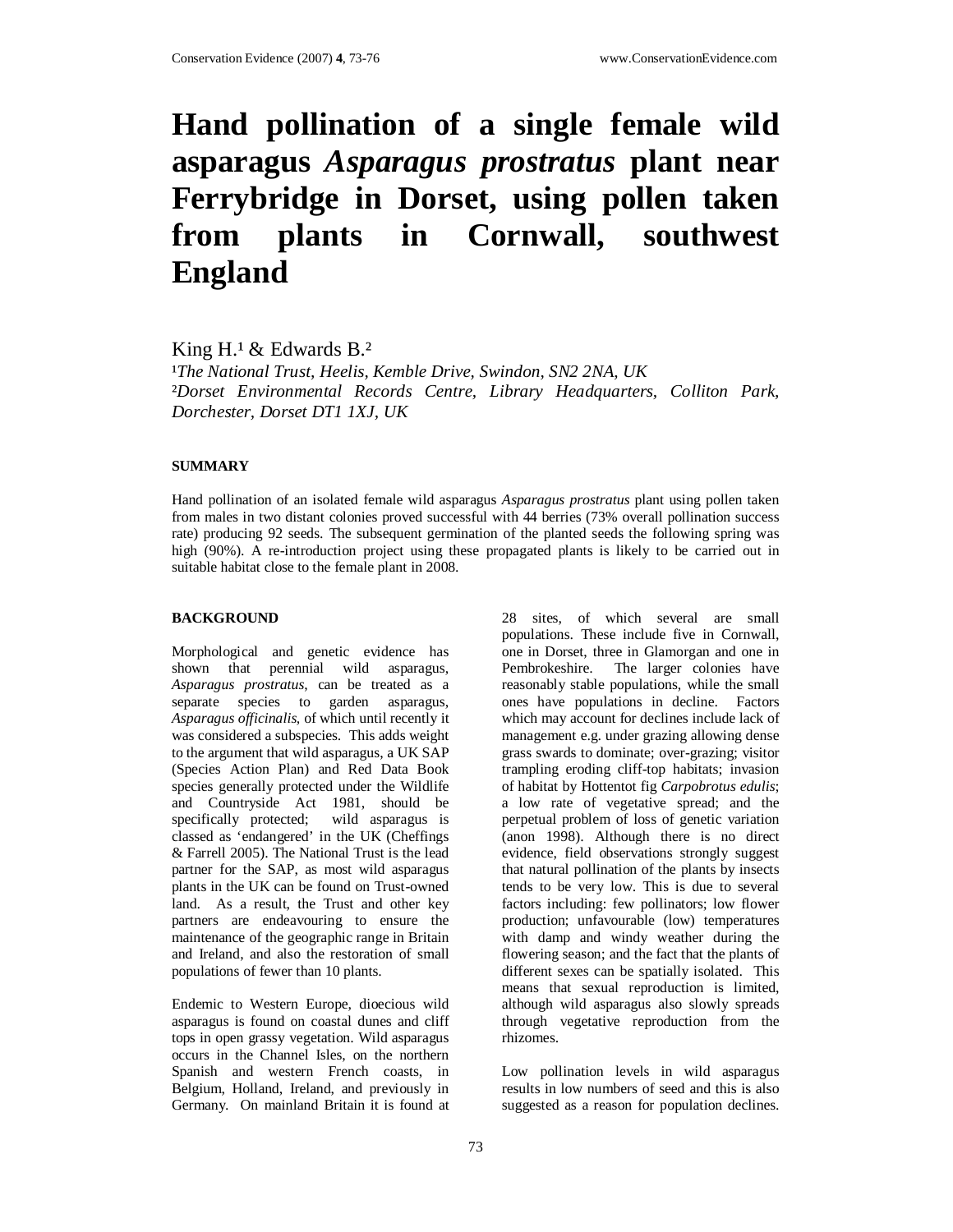# **Hand pollination of a single female wild asparagus** *Asparagus prostratus* **plant near Ferrybridge in Dorset, using pollen taken from plants in Cornwall, southwest England**

King  $H<sup>1</sup>$  & Edwards B.<sup>2</sup>

<sup>1</sup>The National Trust, Heelis, Kemble Drive, Swindon, SN2 2NA, UK ²*Dorset Environmental Records Centre, Library Headquarters, Colliton Park, Dorchester, Dorset DT1 1XJ, UK* 

# **SUMMARY**

Hand pollination of an isolated female wild asparagus *Asparagus prostratus* plant using pollen taken from males in two distant colonies proved successful with 44 berries (73% overall pollination success rate) producing 92 seeds. The subsequent germination of the planted seeds the following spring was high (90%). A re-introduction project using these propagated plants is likely to be carried out in suitable habitat close to the female plant in 2008.

## **BACKGROUND**

Morphological and genetic evidence has shown that perennial wild asparagus, *Asparagus prostratus*, can be treated as a separate species to garden asparagus, *Asparagus officinalis,* of which until recently it was considered a subspecies. This adds weight to the argument that wild asparagus, a UK SAP (Species Action Plan) and Red Data Book species generally protected under the Wildlife and Countryside Act 1981, should be specifically protected; wild asparagus is classed as 'endangered' in the UK (Cheffings & Farrell 2005). The National Trust is the lead partner for the SAP, as most wild asparagus plants in the UK can be found on Trust-owned land. As a result, the Trust and other key partners are endeavouring to ensure the maintenance of the geographic range in Britain and Ireland, and also the restoration of small populations of fewer than 10 plants.

Endemic to Western Europe, dioecious wild asparagus is found on coastal dunes and cliff tops in open grassy vegetation. Wild asparagus occurs in the Channel Isles, on the northern Spanish and western French coasts, in Belgium, Holland, Ireland, and previously in Germany. On mainland Britain it is found at

28 sites, of which several are small populations. These include five in Cornwall, one in Dorset, three in Glamorgan and one in Pembrokeshire. The larger colonies have reasonably stable populations, while the small ones have populations in decline. Factors which may account for declines include lack of management e.g. under grazing allowing dense grass swards to dominate; over-grazing; visitor trampling eroding cliff-top habitats; invasion of habitat by Hottentot fig *Carpobrotus edulis*; a low rate of vegetative spread; and the perpetual problem of loss of genetic variation (anon 1998). Although there is no direct evidence, field observations strongly suggest that natural pollination of the plants by insects tends to be very low. This is due to several factors including: few pollinators; low flower production; unfavourable (low) temperatures with damp and windy weather during the flowering season; and the fact that the plants of different sexes can be spatially isolated. This means that sexual reproduction is limited, although wild asparagus also slowly spreads through vegetative reproduction from the rhizomes.

Low pollination levels in wild asparagus results in low numbers of seed and this is also suggested as a reason for population declines.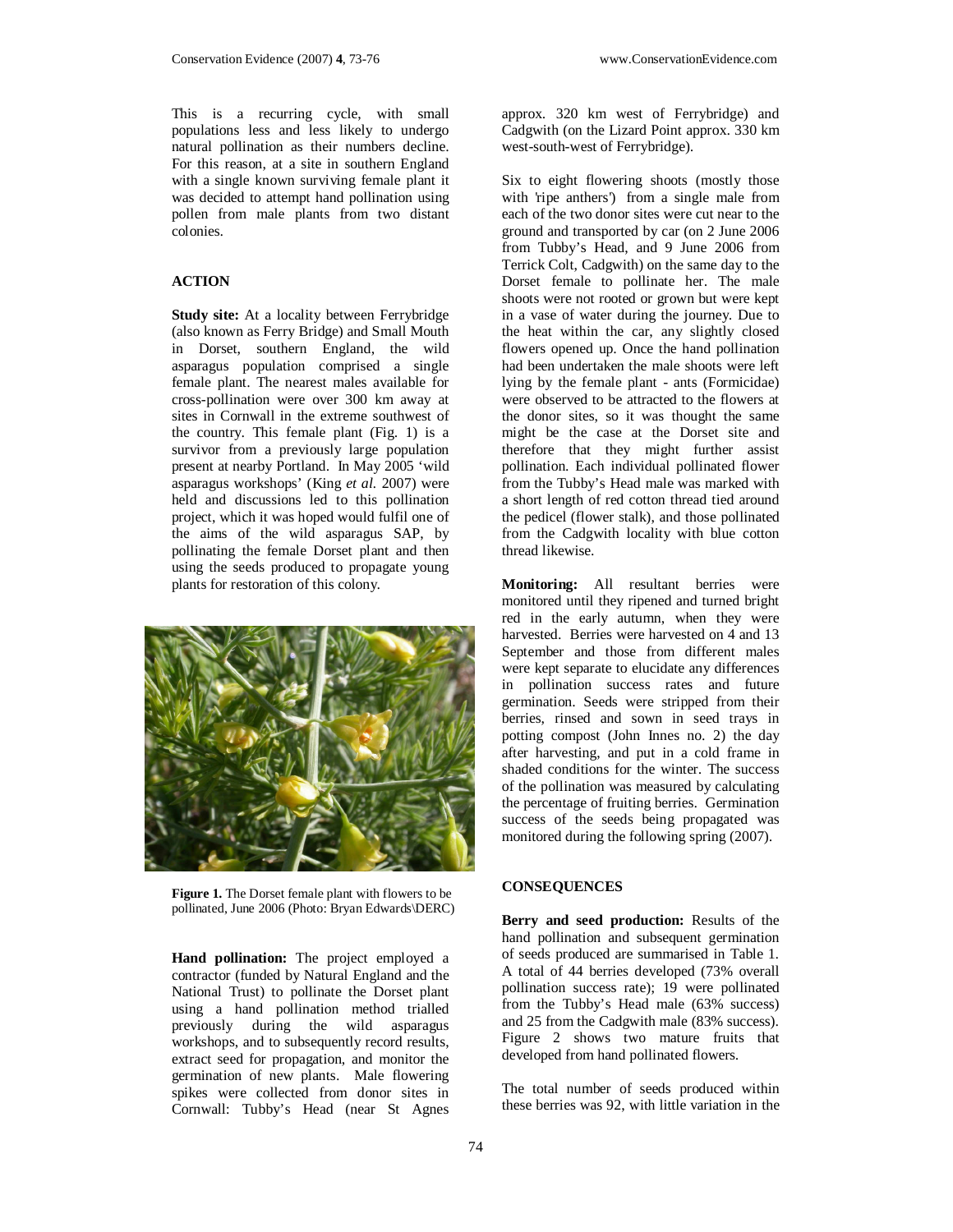This is a recurring cycle, with small populations less and less likely to undergo natural pollination as their numbers decline. For this reason, at a site in southern England with a single known surviving female plant it was decided to attempt hand pollination using pollen from male plants from two distant colonies.

## **ACTION**

**Study site:** At a locality between Ferrybridge (also known as Ferry Bridge) and Small Mouth in Dorset, southern England, the wild asparagus population comprised a single female plant. The nearest males available for cross-pollination were over 300 km away at sites in Cornwall in the extreme southwest of the country. This female plant (Fig. 1) is a survivor from a previously large population present at nearby Portland. In May 2005 'wild asparagus workshops' (King *et al.* 2007) were held and discussions led to this pollination project, which it was hoped would fulfil one of the aims of the wild asparagus SAP, by pollinating the female Dorset plant and then using the seeds produced to propagate young plants for restoration of this colony.



**Figure 1.** The Dorset female plant with flowers to be pollinated, June 2006 (Photo: Bryan Edwards\DERC)

**Hand pollination:** The project employed a contractor (funded by Natural England and the National Trust) to pollinate the Dorset plant using a hand pollination method trialled previously during the wild asparagus workshops, and to subsequently record results, extract seed for propagation, and monitor the germination of new plants. Male flowering spikes were collected from donor sites in Cornwall: Tubby's Head (near St Agnes

approx. 320 km west of Ferrybridge) and Cadgwith (on the Lizard Point approx. 330 km west-south-west of Ferrybridge).

Six to eight flowering shoots (mostly those with 'ripe anthers') from a single male from each of the two donor sites were cut near to the ground and transported by car (on 2 June 2006 from Tubby's Head, and 9 June 2006 from Terrick Colt, Cadgwith) on the same day to the Dorset female to pollinate her. The male shoots were not rooted or grown but were kept in a vase of water during the journey. Due to the heat within the car, any slightly closed flowers opened up. Once the hand pollination had been undertaken the male shoots were left lying by the female plant - ants (Formicidae) were observed to be attracted to the flowers at the donor sites, so it was thought the same might be the case at the Dorset site and therefore that they might further assist pollination. Each individual pollinated flower from the Tubby's Head male was marked with a short length of red cotton thread tied around the pedicel (flower stalk), and those pollinated from the Cadgwith locality with blue cotton thread likewise.

**Monitoring:** All resultant berries were monitored until they ripened and turned bright red in the early autumn, when they were harvested. Berries were harvested on 4 and 13 September and those from different males were kept separate to elucidate any differences in pollination success rates and future germination. Seeds were stripped from their berries, rinsed and sown in seed trays in potting compost (John Innes no. 2) the day after harvesting, and put in a cold frame in shaded conditions for the winter. The success of the pollination was measured by calculating the percentage of fruiting berries. Germination success of the seeds being propagated was monitored during the following spring (2007).

#### **CONSEQUENCES**

**Berry and seed production:** Results of the hand pollination and subsequent germination of seeds produced are summarised in Table 1. A total of 44 berries developed (73% overall pollination success rate); 19 were pollinated from the Tubby's Head male (63% success) and 25 from the Cadgwith male (83% success). Figure 2 shows two mature fruits that developed from hand pollinated flowers.

The total number of seeds produced within these berries was 92, with little variation in the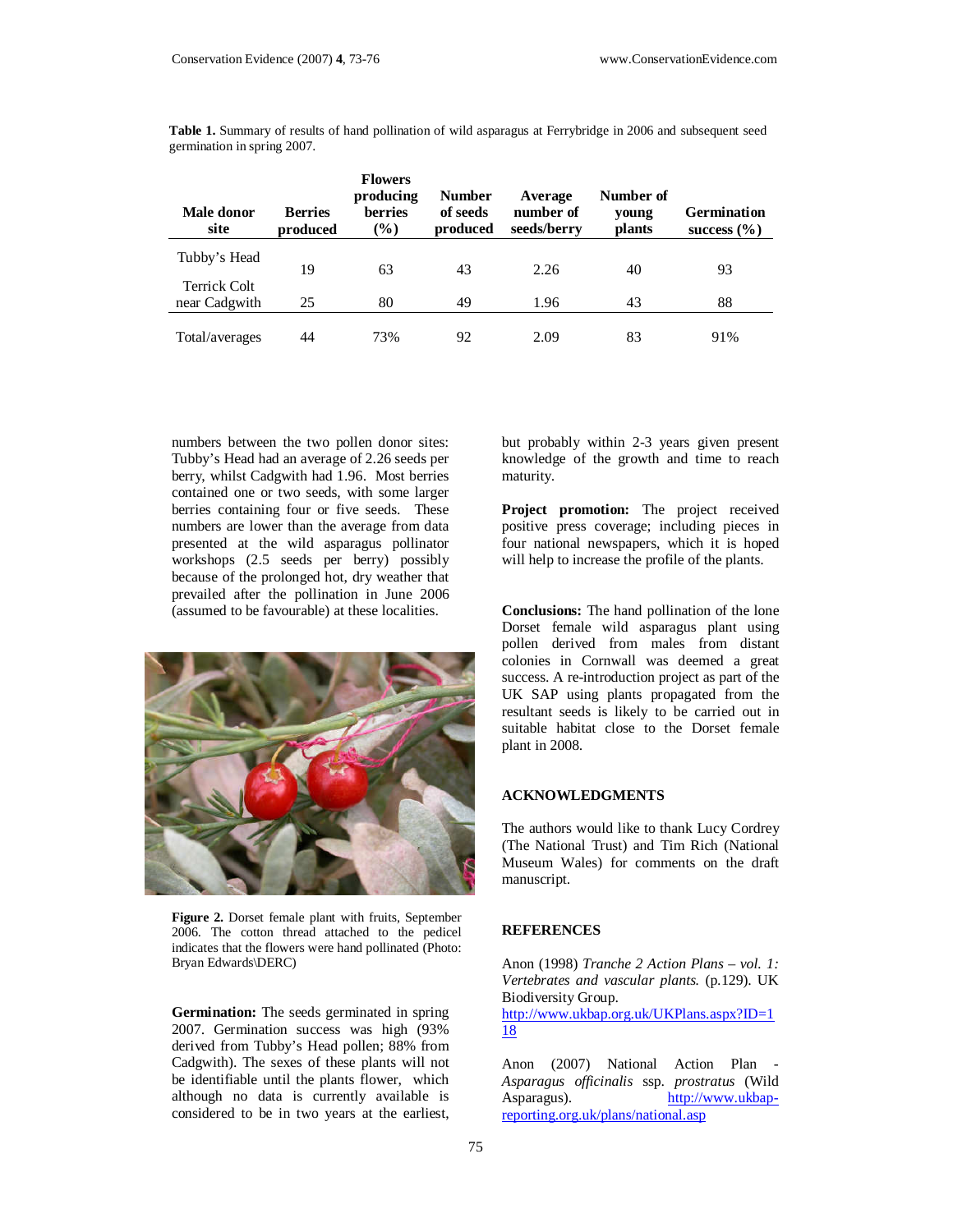| Male donor<br>site            | <b>Berries</b><br>produced | <b>Flowers</b><br>producing<br><b>berries</b><br>$(\%)$ | <b>Number</b><br>of seeds<br>produced | Average<br>number of<br>seeds/berry | Number of<br>young<br><b>plants</b> | <b>Germination</b><br>success $(\% )$ |
|-------------------------------|----------------------------|---------------------------------------------------------|---------------------------------------|-------------------------------------|-------------------------------------|---------------------------------------|
| Tubby's Head                  | 19                         | 63                                                      | 43                                    | 2.26                                | 40                                  | 93                                    |
| Terrick Colt<br>near Cadgwith | 25                         | 80                                                      | 49                                    | 1.96                                | 43                                  | 88                                    |
| Total/averages                | 44                         | 73%                                                     | 92                                    | 2.09                                | 83                                  | 91%                                   |

**Table 1.** Summary of results of hand pollination of wild asparagus at Ferrybridge in 2006 and subsequent seed germination in spring 2007.

numbers between the two pollen donor sites: Tubby's Head had an average of 2.26 seeds per berry, whilst Cadgwith had 1.96. Most berries contained one or two seeds, with some larger berries containing four or five seeds. These numbers are lower than the average from data presented at the wild asparagus pollinator workshops (2.5 seeds per berry) possibly because of the prolonged hot, dry weather that prevailed after the pollination in June 2006 (assumed to be favourable) at these localities.



**Figure 2.** Dorset female plant with fruits, September 2006. The cotton thread attached to the pedicel indicates that the flowers were hand pollinated (Photo: Bryan Edwards\DERC)

**Germination:** The seeds germinated in spring 2007. Germination success was high (93% derived from Tubby's Head pollen; 88% from Cadgwith). The sexes of these plants will not be identifiable until the plants flower, which although no data is currently available is considered to be in two years at the earliest,

but probably within 2-3 years given present knowledge of the growth and time to reach maturity.

**Project promotion:** The project received positive press coverage; including pieces in four national newspapers, which it is hoped will help to increase the profile of the plants.

**Conclusions:** The hand pollination of the lone Dorset female wild asparagus plant using pollen derived from males from distant colonies in Cornwall was deemed a great success. A re-introduction project as part of the UK SAP using plants propagated from the resultant seeds is likely to be carried out in suitable habitat close to the Dorset female plant in 2008.

#### **ACKNOWLEDGMENTS**

The authors would like to thank Lucy Cordrey (The National Trust) and Tim Rich (National Museum Wales) for comments on the draft manuscript.

#### **REFERENCES**

Anon (1998) *Tranche 2 Action Plans – vol. 1: Vertebrates and vascular plants.* (p.129). UK Biodiversity Group. http://www.ukbap.org.uk/UKPlans.aspx?ID=1 18

Anon (2007) National Action Plan - *Asparagus officinalis* ssp. *prostratus* (Wild Asparagus). http://www.ukbapreporting.org.uk/plans/national.asp